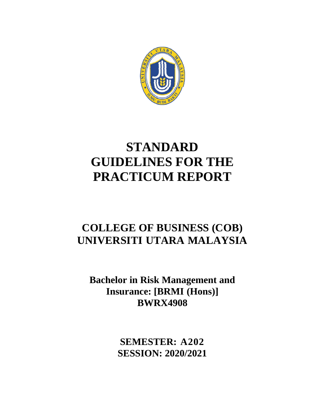

# **STANDARD GUIDELINES FOR THE PRACTICUM REPORT**

## **COLLEGE OF BUSINESS (COB) UNIVERSITI UTARA MALAYSIA**

**Bachelor in Risk Management and Insurance: [BRMI (Hons)] BWRX4908**

> **SEMESTER: A202 SESSION: 2020/2021**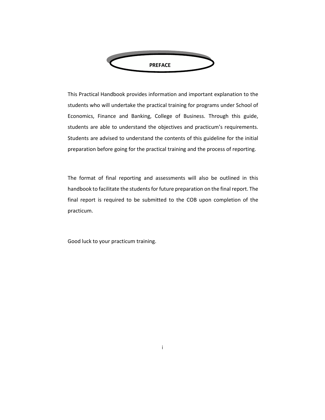

This Practical Handbook provides information and important explanation to the students who will undertake the practical training for programs under School of Economics, Finance and Banking, College of Business. Through this guide, students are able to understand the objectives and practicum's requirements. Students are advised to understand the contents of this guideline for the initial preparation before going for the practical training and the process of reporting.

The format of final reporting and assessments will also be outlined in this handbook to facilitate the students for future preparation on the final report. The final report is required to be submitted to the COB upon completion of the practicum.

Good luck to your practicum training.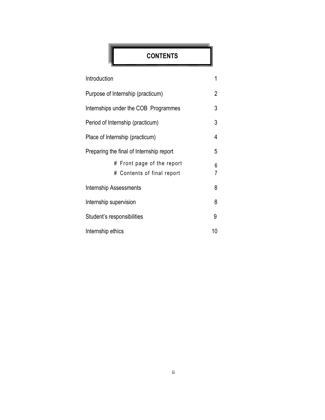### **CONTENTS**

| Introduction                                                | 1      |  |
|-------------------------------------------------------------|--------|--|
| Purpose of Internship (practicum)                           | 2      |  |
| Internships under the COB Programmes                        | 3      |  |
| Period of Internship (practicum)                            | 3      |  |
| Place of Internship (practicum)                             |        |  |
| Preparing the final of Internship report                    |        |  |
| Front page of the report<br>#<br># Contents of final report | 6<br>7 |  |
| <b>Internship Assessments</b>                               |        |  |
| Internship supervision                                      |        |  |
| Student's responsibilities                                  |        |  |
| Internship ethics                                           |        |  |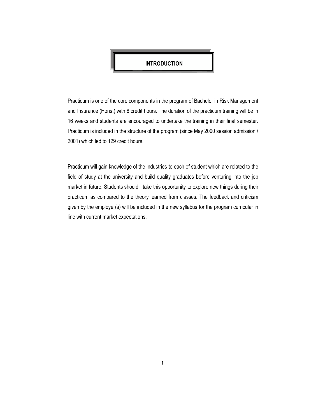

Practicum is one of the core components in the program of Bachelor in Risk Management and Insurance (Hons.) with 8 credit hours. The duration of the practicum training will be in 16 weeks and students are encouraged to undertake the training in their final semester. Practicum is included in the structure of the program (since May 2000 session admission / 2001) which led to 129 credit hours.

Practicum will gain knowledge of the industries to each of student which are related to the field of study at the university and build quality graduates before venturing into the job market in future. Students should take this opportunity to explore new things during their practicum as compared to the theory learned from classes. The feedback and criticism given by the employer(s) will be included in the new syllabus for the program curricular in line with current market expectations.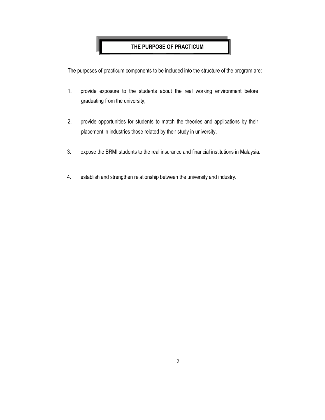#### **THE PURPOSE OF PRACTICUM**

The purposes of practicum components to be included into the structure of the program are:

- 1. provide exposure to the students about the real working environment before graduating from the university,
- 2. provide opportunities for students to match the theories and applications by their placement in industries those related by their study in university.
- 3. expose the BRMI students to the real insurance and financial institutions in Malaysia.
- 4. establish and strengthen relationship between the university and industry.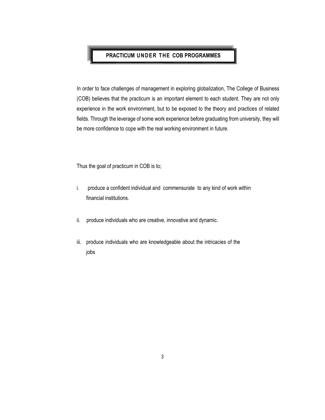#### **PRACTICUM UN DER THE COB PROGRAMMES**

In order to face challenges of management in exploring globalization, The College of Business (COB) believes that the practicum is an important element to each student. They are not only experience in the work environment, but to be exposed to the theory and practices of related fields. Through the leverage of some work experience before graduating from university, they will be more confidence to cope with the real working environment in future.

Thus the goal of practicum in COB is to;

- i. produce a confident individual and commensurate to any kind of work within financial institutions.
- ii. produce individuals who are creative, innovative and dynamic.
- iii. produce individuals who are knowledgeable about the intricacies of the jobs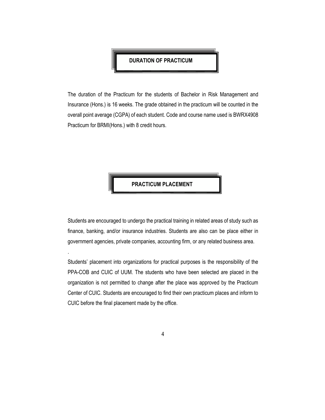#### **DURATION OF PRACTICUM**

The duration of the Practicum for the students of Bachelor in Risk Management and Insurance (Hons.) is 16 weeks. The grade obtained in the practicum will be counted in the overall point average (CGPA) of each student. Code and course name used is BWRX4908 Practicum for BRMI(Hons.) with 8 credit hours.

**PRACTICUM PLACEMENT**

Students are encouraged to undergo the practical training in related areas of study such as finance, banking, and/or insurance industries. Students are also can be place either in government agencies, private companies, accounting firm, or any related business area.

.

Students' placement into organizations for practical purposes is the responsibility of the PPA-COB and CUIC of UUM. The students who have been selected are placed in the organization is not permitted to change after the place was approved by the Practicum Center of CUIC. Students are encouraged to find their own practicum places and inform to CUIC before the final placement made by the office.

4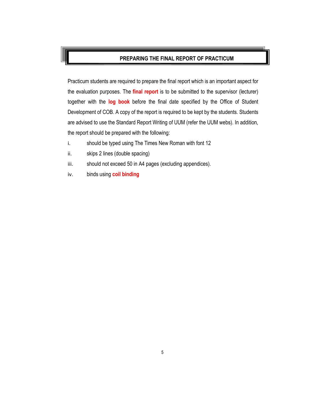#### **PREPARING THE FINAL REPORT OF PRACTICUM**

Practicum students are required to prepare the final report which is an important aspect for the evaluation purposes. The **final report** is to be submitted to the supervisor (lecturer) together with the **log book** before the final date specified by the Office of Student Development of COB. A copy of the report is required to be kept by the students. Students are advised to use the Standard Report Writing of UUM (refer the UUM webs). In addition, the report should be prepared with the following:

- i. should be typed using The Times New Roman with font 12
- ii. skips 2 lines (double spacing)
- iii. should not exceed 50 in A4 pages (excluding appendices).
- iv. binds using **coil binding**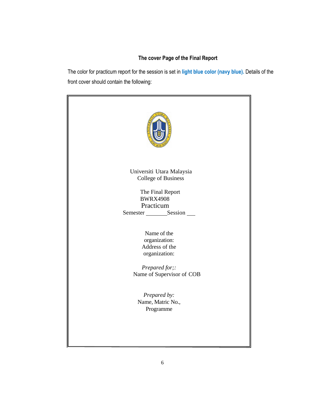#### **The cover Page of the Final Report**

The color for practicum report for the session is set in **light blue color (navy blue).** Details of the front cover should contain the following:

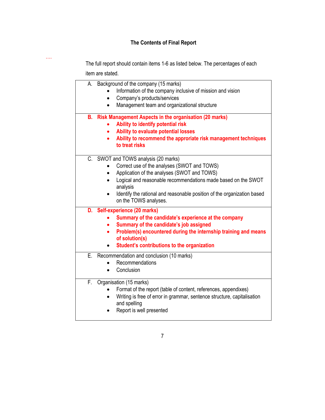#### **The Contents of Final Report**

The full report should contain items 1-6 as listed below. The percentages of each

item are stated.

….

|    | A. Background of the company (15 marks)                                          |
|----|----------------------------------------------------------------------------------|
|    | Information of the company inclusive of mission and vision                       |
|    | Company's products/services                                                      |
|    | Management team and organizational structure                                     |
| В. | <b>Risk Management Aspects in the organisation (20 marks)</b>                    |
|    | Ability to identify potential risk                                               |
|    | Ability to evaluate potential losses                                             |
|    |                                                                                  |
|    | Ability to recommend the approriate risk management techniques<br>to treat risks |
|    | C. SWOT and TOWS analysis (20 marks)                                             |
|    | Correct use of the analyses (SWOT and TOWS)                                      |
|    | Application of the analyses (SWOT and TOWS)<br>$\bullet$                         |
|    | Logical and reasonable recommendations made based on the SWOT<br>$\bullet$       |
|    | analysis                                                                         |
|    | Identify the rational and reasonable position of the organization based          |
|    | on the TOWS analyses.                                                            |
|    | D. Self-experience (20 marks)                                                    |
|    | Summary of the candidate's experience at the company                             |
|    | Summary of the candidate's job assigned                                          |
|    | Problem(s) encountered during the internship training and means                  |
|    | of solution(s)                                                                   |
|    | Student's contributions to the organization                                      |
|    | E. Recommendation and conclusion (10 marks)                                      |
|    | Recommendations                                                                  |
|    | Conclusion<br>$\bullet$                                                          |
| F. | Organisation (15 marks)                                                          |
|    | Format of the report (table of content, references, appendixes)                  |
|    | Writing is free of error in grammar, sentence structure, capitalisation          |
|    | and spelling                                                                     |
|    | Report is well presented                                                         |
|    |                                                                                  |

7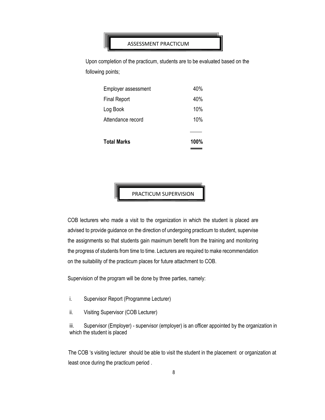#### ASSESSMENT PRACTICUM

Upon completion of the practicum, students are to be evaluated based on the following points;

| <b>Total Marks</b>  | 100% |
|---------------------|------|
|                     |      |
| Attendance record   | 10%  |
| Log Book            | 10%  |
| <b>Final Report</b> | 40%  |
| Employer assessment | 40%  |

PRACTICUM SUPERVISION

COB lecturers who made a visit to the organization in which the student is placed are advised to provide guidance on the direction of undergoing practicum to student, supervise the assignments so that students gain maximum benefit from the training and monitoring the progress of students from time to time. Lecturers are required to make recommendation on the suitability of the practicum places for future attachment to COB.

Supervision of the program will be done by three parties, namely:

- i. Supervisor Report (Programme Lecturer)
- ii. Visiting Supervisor (COB Lecturer)

iii. Supervisor (Employer) - supervisor (employer) is an officer appointed by the organization in which the student is placed

The COB 's visiting lecturer should be able to visit the student in the placement or organization at least once during the practicum period .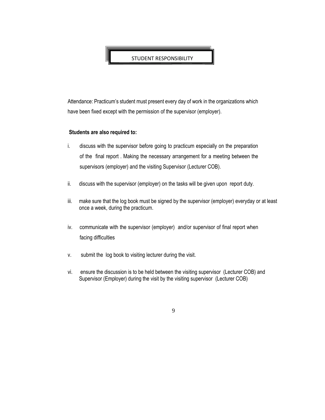STUDENT RESPONSIBILITY

Attendance: Practicum's student must present every day of work in the organizations which have been fixed except with the permission of the supervisor (employer).

#### **Students are also required to:**

- i. discuss with the supervisor before going to practicum especially on the preparation of the final report . Making the necessary arrangement for a meeting between the supervisors (employer) and the visiting Supervisor (Lecturer COB).
- ii. discuss with the supervisor (employer) on the tasks will be given upon report duty.
- iii. make sure that the log book must be signed by the supervisor (employer) everyday or at least once a week, during the practicum.
- iv. communicate with the supervisor (employer) and/or supervisor of final report when facing difficulties
- v. submit the log book to visiting lecturer during the visit.
- vi. ensure the discussion is to be held between the visiting supervisor (Lecturer COB) and Supervisor (Employer) during the visit by the visiting supervisor (Lecturer COB)

9